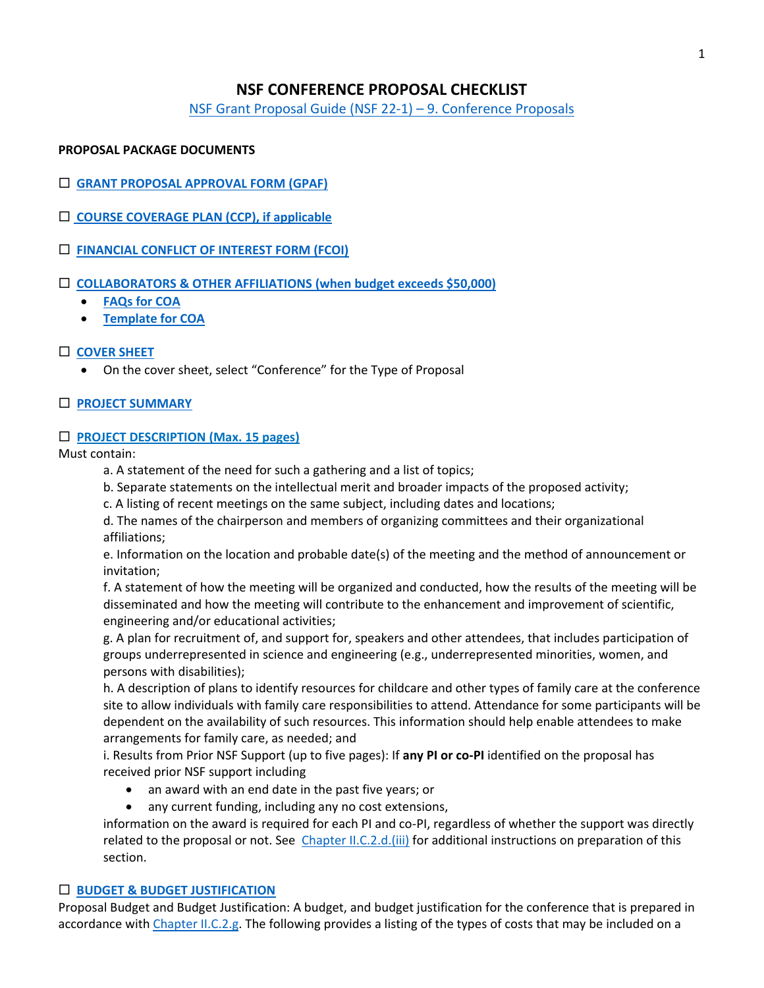# **NSF CONFERENCE PROPOSAL CHECKLIST**

[NSF Grant Proposal Guide \(NSF 22-1\)](https://www.nsf.gov/pubs/policydocs/pappg22_1/pappg_2.jsp#IIE9) – 9. Conference Proposals

## **PROPOSAL PACKAGE DOCUMENTS**

- **[GRANT PROPOSAL APPROVAL FORM \(GPAF\)](https://www.union.edu/sites/default/files/grants/202109/gpaf-090121.pdf)**
- **[COURSE COVERAGE PLAN \(CCP\), if applicable](https://www.union.edu/sites/default/files/grants/202009/course-coverage-plan-9152020.pdf)**
- **[FINANCIAL CONFLICT OF INTEREST FORM \(FCOI\)](https://union-college.formstack.com/workflows/fcoi)**
- **[COLLABORATORS & OTHER AFFILIATIONS](https://www.nsf.gov/pubs/policydocs/pappg22_1/pappg_2.jsp#IIC1e) (when budget exceeds \$50,000)**
	- **[FAQs for COA](https://www.nsf.gov/bfa/dias/policy/coa/faqs_coatemplateaug2020.pdf)**
	- **[Template for COA](https://www.nsf.gov/bfa/dias/policy/coa.jsp)**

# **[COVER SHEET](https://www.nsf.gov/pubs/policydocs/pappg22_1/pappg_2.jsp#IIC2a)**

• On the cover sheet, select "Conference" for the Type of Proposal

## **PROJECT [SUMMARY](https://www.nsf.gov/pubs/policydocs/pappg22_1/pappg_2.jsp#IIC2b)**

## **PROJECT DESCRIPTION (Max. 15 pages)**

Must contain:

- a. A statement of the need for such a gathering and a list of topics;
- b. Separate statements on the intellectual merit and broader impacts of the proposed activity;
- c. A listing of recent meetings on the same subject, including dates and locations;

d. The names of the chairperson and members of organizing committees and their organizational affiliations;

e. Information on the location and probable date(s) of the meeting and the method of announcement or invitation;

f. A statement of how the meeting will be organized and conducted, how the results of the meeting will be disseminated and how the meeting will contribute to the enhancement and improvement of scientific, engineering and/or educational activities;

g. A plan for recruitment of, and support for, speakers and other attendees, that includes participation of groups underrepresented in science and engineering (e.g., underrepresented minorities, women, and persons with disabilities);

h. A description of plans to identify resources for childcare and other types of family care at the conference site to allow individuals with family care responsibilities to attend. Attendance for some participants will be dependent on the availability of such resources. This information should help enable attendees to make arrangements for family care, as needed; and

i. Results from Prior NSF Support (up to five pages): If **any PI or co-PI** identified on the proposal has received prior NSF support including

- an award with an end date in the past five years; or
- any current funding, including any no cost extensions,

information on the award is required for each PI and co-PI, regardless of whether the support was directly related to the proposal or not. See [Chapter II.C.2.d.\(iii\)](https://www.nsf.gov/pubs/policydocs/pappg22_1/pappg_2.jsp#IIC2g) for additional instructions on preparation of this section.

## **BUDGET [& BUDGET JUSTIFICATION](https://www.nsf.gov/pubs/policydocs/pappg22_1/pappg_2.jsp#IIC2g)**

Proposal Budget and Budget Justification: A budget, and budget justification for the conference that is prepared in accordance with [Chapter II.C.2.g.](https://www.nsf.gov/pubs/policydocs/pappg22_1/pappg_2.jsp#IIC2g) The following provides a listing of the types of costs that may be included on a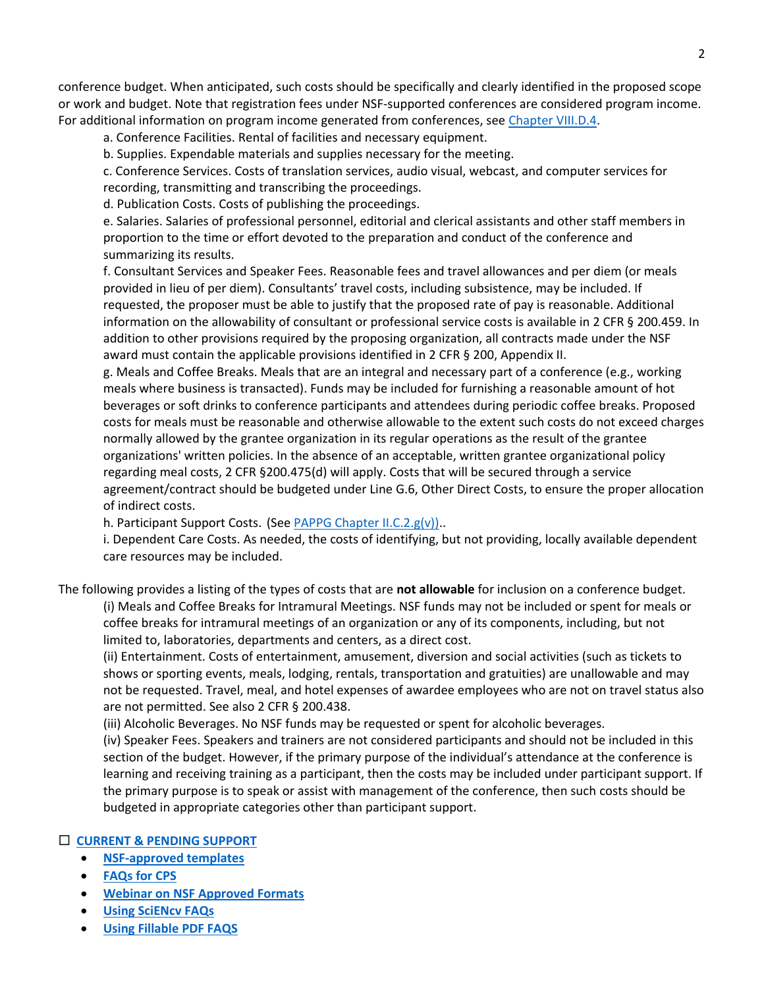conference budget. When anticipated, such costs should be specifically and clearly identified in the proposed scope or work and budget. Note that registration fees under NSF-supported conferences are considered program income. For additional information on program income generated from conferences, see [Chapter VIII.D.4.](https://www.nsf.gov/pubs/policydocs/pappg22_1/pappg_8.jsp#VIIID)

a. Conference Facilities. Rental of facilities and necessary equipment.

b. Supplies. Expendable materials and supplies necessary for the meeting.

c. Conference Services. Costs of translation services, audio visual, webcast, and computer services for recording, transmitting and transcribing the proceedings.

d. Publication Costs. Costs of publishing the proceedings.

e. Salaries. Salaries of professional personnel, editorial and clerical assistants and other staff members in proportion to the time or effort devoted to the preparation and conduct of the conference and summarizing its results.

f. Consultant Services and Speaker Fees. Reasonable fees and travel allowances and per diem (or meals provided in lieu of per diem). Consultants' travel costs, including subsistence, may be included. If requested, the proposer must be able to justify that the proposed rate of pay is reasonable. Additional information on the allowability of consultant or professional service costs is available in 2 CFR § 200.459. In addition to other provisions required by the proposing organization, all contracts made under the NSF award must contain the applicable provisions identified in 2 CFR § 200, Appendix II.

g. Meals and Coffee Breaks. Meals that are an integral and necessary part of a conference (e.g., working meals where business is transacted). Funds may be included for furnishing a reasonable amount of hot beverages or soft drinks to conference participants and attendees during periodic coffee breaks. Proposed costs for meals must be reasonable and otherwise allowable to the extent such costs do not exceed charges normally allowed by the grantee organization in its regular operations as the result of the grantee organizations' written policies. In the absence of an acceptable, written grantee organizational policy regarding meal costs, 2 CFR §200.475(d) will apply. Costs that will be secured through a service agreement/contract should be budgeted under Line G.6, Other Direct Costs, to ensure the proper allocation of indirect costs.

h. Participant Support Costs. (See [PAPPG Chapter II.C.2.g\(v\)\).](https://www.nsf.gov/pubs/policydocs/pappg22_1/pappg_2.jsp#IIC2gv).

i. Dependent Care Costs. As needed, the costs of identifying, but not providing, locally available dependent care resources may be included.

The following provides a listing of the types of costs that are **not allowable** for inclusion on a conference budget.

(i) Meals and Coffee Breaks for Intramural Meetings. NSF funds may not be included or spent for meals or coffee breaks for intramural meetings of an organization or any of its components, including, but not limited to, laboratories, departments and centers, as a direct cost.

(ii) Entertainment. Costs of entertainment, amusement, diversion and social activities (such as tickets to shows or sporting events, meals, lodging, rentals, transportation and gratuities) are unallowable and may not be requested. Travel, meal, and hotel expenses of awardee employees who are not on travel status also are not permitted. See also 2 CFR § 200.438.

(iii) Alcoholic Beverages. No NSF funds may be requested or spent for alcoholic beverages.

(iv) Speaker Fees. Speakers and trainers are not considered participants and should not be included in this section of the budget. However, if the primary purpose of the individual's attendance at the conference is learning and receiving training as a participant, then the costs may be included under participant support. If the primary purpose is to speak or assist with management of the conference, then such costs should be budgeted in appropriate categories other than participant support.

## **[CURRENT & PENDING SUPPORT](https://www.nsf.gov/pubs/policydocs/pappg22_1/pappg_2.jsp#IIC2h)**

- **[NSF-approved templates](https://www.nsf.gov/bfa/dias/policy/cps.jsp)**
- **[FAQs for CPS](https://www.nsf.gov/bfa/dias/policy/cps_faqs/currentandpendingfaqs_june2021.pdf)**
- **[Webinar on NSF Approved Formats](https://nsfpolicyoutreach.com/resources/april-2020-nsf-approved-formats-for-proposals/)**
- **[Using SciENcv FAQs](https://www.research.gov/common/attachment/Desktop/SciENcv-FAQs.pdf)**
- **[Using Fillable PDF FAQS](https://www.research.gov/common/attachment/Desktop/NSFPDF-FAQs.pdf)**